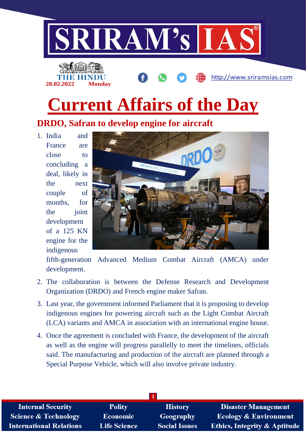



# **Current Affairs of the Day**

**DRDO, Safran to develop engine for aircraft**

1. India and France are close to concluding a deal, likely in the next couple of months, for the ioint development of a 125 KN engine for the indigenous



http://www.sriramsias.com

fifth-generation Advanced Medium Combat Aircraft (AMCA) under development.

- 2. The collaboration is between the Defense Research and Development Organization (DRDO) and French engine maker Safran.
- 3. Last year, the government informed Parliament that it is proposing to develop indigenous engines for powering aircraft such as the Light Combat Aircraft (LCA) variants and AMCA in association with an international engine house.
- 4. Once the agreement is concluded with France, the development of the aircraft as well as the engine will progress parallelly to meet the timelines, officials said. The manufacturing and production of the aircraft are planned through a Special Purpose Vehicle, which will also involve private industry.

| <b>Internal Security</b>        | <b>Polity</b>       | <b>History</b>       | <b>Disaster Management</b>              |
|---------------------------------|---------------------|----------------------|-----------------------------------------|
| <b>Science &amp; Technology</b> | <b>Economic</b>     | <b>Geography</b>     | <b>Ecology &amp; Environment</b>        |
| <b>International Relations</b>  | <b>Life Science</b> | <b>Social Issues</b> | <b>Ethics, Integrity &amp; Aptitude</b> |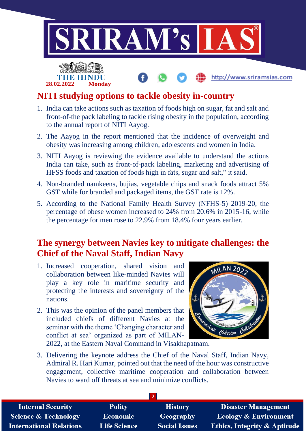

## **NITI studying options to tackle obesity in-country**

**28.02.2022 Monday**

- 1. India can take actions such as taxation of foods high on sugar, fat and salt and front-of-the pack labeling to tackle rising obesity in the population, according to the annual report of NITI Aayog.
- 2. The Aayog in the report mentioned that the incidence of overweight and obesity was increasing among children, adolescents and women in India.
- 3. NITI Aayog is reviewing the evidence available to understand the actions India can take, such as front-of-pack labeling, marketing and advertising of HFSS foods and taxation of foods high in fats, sugar and salt," it said.
- 4. Non-branded namkeens, bujias, vegetable chips and snack foods attract 5% GST while for branded and packaged items, the GST rate is 12%.
- 5. According to the National Family Health Survey (NFHS-5) 2019-20, the percentage of obese women increased to 24% from 20.6% in 2015-16, while the percentage for men rose to 22.9% from 18.4% four years earlier.

## **The synergy between Navies key to mitigate challenges: the Chief of the Naval Staff, Indian Navy**

- 1. Increased cooperation, shared vision and collaboration between like-minded Navies will play a key role in maritime security and protecting the interests and sovereignty of the nations.
- 2. This was the opinion of the panel members that included chiefs of different Navies at the seminar with the theme 'Changing character and conflict at sea' organized as part of MILAN-



2022, at the Eastern Naval Command in Visakhapatnam.

3. Delivering the keynote address the Chief of the Naval Staff, Indian Navy, Admiral R. Hari Kumar, pointed out that the need of the hour was constructive engagement, collective maritime cooperation and collaboration between Navies to ward off threats at sea and minimize conflicts.

| <b>Internal Security</b>        | <b>Polity</b>       | <b>History</b>       | <b>Disaster Management</b>              |
|---------------------------------|---------------------|----------------------|-----------------------------------------|
| <b>Science &amp; Technology</b> | <b>Economic</b>     | Geography            | <b>Ecology &amp; Environment</b>        |
| <b>International Relations</b>  | <b>Life Science</b> | <b>Social Issues</b> | <b>Ethics, Integrity &amp; Aptitude</b> |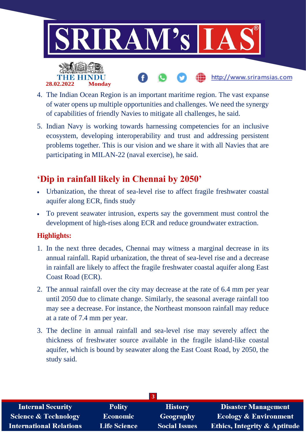

- 4. The Indian Ocean Region is an important maritime region. The vast expanse of water opens up multiple opportunities and challenges. We need the synergy of capabilities of friendly Navies to mitigate all challenges, he said.
- 5. Indian Navy is working towards harnessing competencies for an inclusive ecosystem, developing interoperability and trust and addressing persistent problems together. This is our vision and we share it with all Navies that are participating in MILAN-22 (naval exercise), he said.

# **'Dip in rainfall likely in Chennai by 2050'**

- Urbanization, the threat of sea-level rise to affect fragile freshwater coastal aquifer along ECR, finds study
- To prevent seawater intrusion, experts say the government must control the development of high-rises along ECR and reduce groundwater extraction.

### **Highlights:**

**28.02.2022 Monday**

- 1. In the next three decades, Chennai may witness a marginal decrease in its annual rainfall. Rapid urbanization, the threat of sea-level rise and a decrease in rainfall are likely to affect the fragile freshwater coastal aquifer along East Coast Road (ECR).
- 2. The annual rainfall over the city may decrease at the rate of 6.4 mm per year until 2050 due to climate change. Similarly, the seasonal average rainfall too may see a decrease. For instance, the Northeast monsoon rainfall may reduce at a rate of 7.4 mm per year.
- 3. The decline in annual rainfall and sea-level rise may severely affect the thickness of freshwater source available in the fragile island-like coastal aquifer, which is bound by seawater along the East Coast Road, by 2050, the study said.

| <b>Internal Security</b>        | <b>Polity</b>       | <b>History</b>       | <b>Disaster Management</b>              |
|---------------------------------|---------------------|----------------------|-----------------------------------------|
| <b>Science &amp; Technology</b> | Economic            | Geography            | Ecology & Environment                   |
| <b>International Relations</b>  | <b>Life Science</b> | <b>Social Issues</b> | <b>Ethics, Integrity &amp; Aptitude</b> |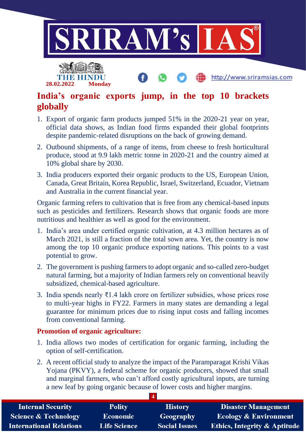

## **India's organic exports jump, in the top 10 brackets globally**

- 1. Export of organic farm products jumped 51% in the 2020-21 year on year, official data shows, as Indian food firms expanded their global footprints despite pandemic-related disruptions on the back of growing demand.
- 2. Outbound shipments, of a range of items, from cheese to fresh horticultural produce, stood at 9.9 lakh metric tonne in 2020-21 and the country aimed at 10% global share by 2030.
- 3. India producers exported their organic products to the US, European Union, Canada, Great Britain, Korea Republic, Israel, Switzerland, Ecuador, Vietnam and Australia in the current financial year.

Organic farming refers to cultivation that is free from any chemical-based inputs such as pesticides and fertilizers. Research shows that organic foods are more nutritious and healthier as well as good for the environment.

- 1. India's area under certified organic cultivation, at 4.3 million hectares as of March 2021, is still a fraction of the total sown area. Yet, the country is now among the top 10 organic produce exporting nations. This points to a vast potential to grow.
- 2. The government is pushing farmers to adopt organic and so-called zero-budget natural farming, but a majority of Indian farmers rely on conventional heavily subsidized, chemical-based agriculture.
- 3. India spends nearly ₹1.4 lakh crore on fertilizer subsidies, whose prices rose to multi-year highs in FY22. Farmers in many states are demanding a legal guarantee for minimum prices due to rising input costs and falling incomes from conventional farming.

#### **Promotion of organic agriculture:**

**28.02.2022 Monday**

- 1. India allows two modes of certification for organic farming, including the option of self-certification.
- 2. A recent official study to analyze the impact of the Paramparagat Krishi Vikas Yojana (PKVY), a federal scheme for organic producers, showed that small and marginal farmers, who can't afford costly agricultural inputs, are turning a new leaf by going organic because of lower costs and higher margins.

| <b>Internal Security</b>        | <b>Polity</b>       | <b>History</b>       | <b>Disaster Management</b>              |
|---------------------------------|---------------------|----------------------|-----------------------------------------|
| <b>Science &amp; Technology</b> | Economic            | Geography            | <b>Ecology &amp; Environment</b>        |
| <b>International Relations</b>  | <b>Life Science</b> | <b>Social Issues</b> | <b>Ethics, Integrity &amp; Aptitude</b> |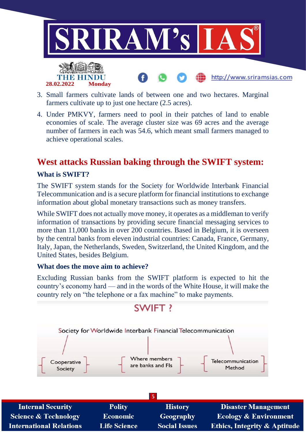

- 3. Small farmers cultivate lands of between one and two hectares. Marginal farmers cultivate up to just one hectare (2.5 acres).
- 4. Under PMKVY, farmers need to pool in their patches of land to enable economies of scale. The average cluster size was 69 acres and the average number of farmers in each was 54.6, which meant small farmers managed to achieve operational scales.

# **West attacks Russian baking through the SWIFT system:**

#### **What is SWIFT?**

**International Relations** 

The SWIFT system stands for the Society for Worldwide Interbank Financial Telecommunication and is a secure platform for financial institutions to exchange information about global monetary transactions such as money transfers.

While SWIFT does not actually move money, it operates as a middleman to verify information of transactions by providing secure financial messaging services to more than 11,000 banks in over 200 countries. Based in Belgium, it is overseen by the central banks from eleven industrial countries: Canada, France, Germany, Italy, Japan, the Netherlands, Sweden, Switzerland, the United Kingdom, and the United States, besides Belgium.

#### **What does the move aim to achieve?**

**Life Science** 

Excluding Russian banks from the SWIFT platform is expected to hit the country's economy hard — and in the words of the White House, it will make the country rely on "the telephone or a fax machine" to make payments.



**Social Issues** 

**Ethics, Integrity & Aptitude**